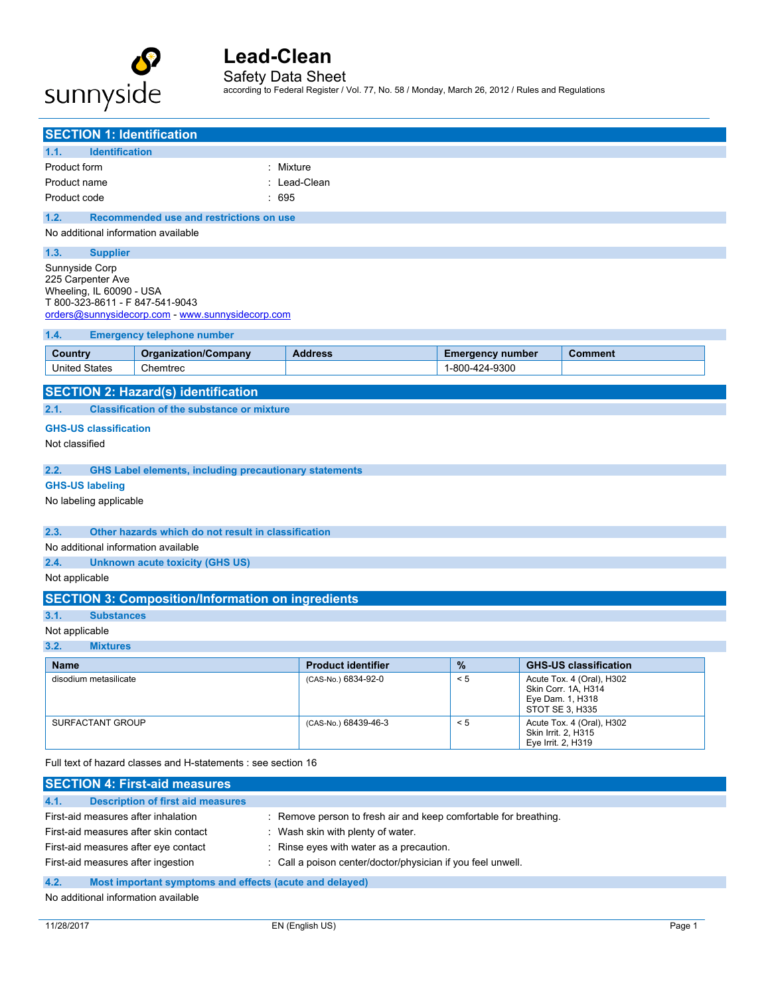

Safety Data Sheet

according to Federal Register / Vol. 77, No. 58 / Monday, March 26, 2012 / Rules and Regulations

| <b>SECTION 1: Identification</b>                                                                        |                                                                                                   |                                                               |                           |  |                         |                                           |                                                                                         |  |
|---------------------------------------------------------------------------------------------------------|---------------------------------------------------------------------------------------------------|---------------------------------------------------------------|---------------------------|--|-------------------------|-------------------------------------------|-----------------------------------------------------------------------------------------|--|
| <b>Identification</b><br>1.1.                                                                           |                                                                                                   |                                                               |                           |  |                         |                                           |                                                                                         |  |
| Product form                                                                                            |                                                                                                   |                                                               | : Mixture                 |  |                         |                                           |                                                                                         |  |
| Product name                                                                                            |                                                                                                   |                                                               | : Lead-Clean              |  |                         |                                           |                                                                                         |  |
| Product code                                                                                            |                                                                                                   |                                                               | : 695                     |  |                         |                                           |                                                                                         |  |
| 1.2.                                                                                                    |                                                                                                   | Recommended use and restrictions on use                       |                           |  |                         |                                           |                                                                                         |  |
|                                                                                                         |                                                                                                   | No additional information available                           |                           |  |                         |                                           |                                                                                         |  |
| 1.3.                                                                                                    | <b>Supplier</b>                                                                                   |                                                               |                           |  |                         |                                           |                                                                                         |  |
| Sunnyside Corp<br>225 Carpenter Ave<br>Wheeling, IL 60090 - USA<br>T 800-323-8611 - F 847-541-9043      |                                                                                                   | orders@sunnysidecorp.com - www.sunnysidecorp.com              |                           |  |                         |                                           |                                                                                         |  |
| 1.4.                                                                                                    |                                                                                                   | <b>Emergency telephone number</b>                             |                           |  |                         |                                           |                                                                                         |  |
| Country                                                                                                 |                                                                                                   | <b>Organization/Company</b>                                   | <b>Address</b>            |  | <b>Emergency number</b> |                                           | Comment                                                                                 |  |
| <b>United States</b>                                                                                    |                                                                                                   | Chemtrec                                                      |                           |  | 1-800-424-9300          |                                           |                                                                                         |  |
|                                                                                                         |                                                                                                   | <b>SECTION 2: Hazard(s) identification</b>                    |                           |  |                         |                                           |                                                                                         |  |
| 2.1.                                                                                                    |                                                                                                   | <b>Classification of the substance or mixture</b>             |                           |  |                         |                                           |                                                                                         |  |
| <b>GHS-US classification</b>                                                                            |                                                                                                   |                                                               |                           |  |                         |                                           |                                                                                         |  |
| Not classified                                                                                          |                                                                                                   |                                                               |                           |  |                         |                                           |                                                                                         |  |
|                                                                                                         |                                                                                                   |                                                               |                           |  |                         |                                           |                                                                                         |  |
| 2.2.                                                                                                    |                                                                                                   | <b>GHS Label elements, including precautionary statements</b> |                           |  |                         |                                           |                                                                                         |  |
| <b>GHS-US labeling</b>                                                                                  |                                                                                                   |                                                               |                           |  |                         |                                           |                                                                                         |  |
| No labeling applicable                                                                                  |                                                                                                   |                                                               |                           |  |                         |                                           |                                                                                         |  |
| 2.3.                                                                                                    |                                                                                                   | Other hazards which do not result in classification           |                           |  |                         |                                           |                                                                                         |  |
|                                                                                                         |                                                                                                   | No additional information available                           |                           |  |                         |                                           |                                                                                         |  |
| 2.4.                                                                                                    |                                                                                                   | <b>Unknown acute toxicity (GHS US)</b>                        |                           |  |                         |                                           |                                                                                         |  |
| Not applicable                                                                                          |                                                                                                   |                                                               |                           |  |                         |                                           |                                                                                         |  |
|                                                                                                         |                                                                                                   |                                                               |                           |  |                         |                                           |                                                                                         |  |
|                                                                                                         | <b>SECTION 3: Composition/Information on ingredients</b>                                          |                                                               |                           |  |                         |                                           |                                                                                         |  |
| 3.1.                                                                                                    | <b>Substances</b>                                                                                 |                                                               |                           |  |                         |                                           |                                                                                         |  |
| Not applicable<br>3.2.<br><b>Mixtures</b>                                                               |                                                                                                   |                                                               |                           |  |                         |                                           |                                                                                         |  |
| <b>Name</b>                                                                                             |                                                                                                   |                                                               | <b>Product identifier</b> |  | %                       |                                           | <b>GHS-US classification</b>                                                            |  |
| disodium metasilicate                                                                                   |                                                                                                   |                                                               | (CAS-No.) 6834-92-0       |  | < 5                     |                                           | Acute Tox. 4 (Oral), H302<br>Skin Corr. 1A, H314<br>Eye Dam. 1, H318<br>STOT SE 3, H335 |  |
| SURFACTANT GROUP                                                                                        |                                                                                                   |                                                               | (CAS-No.) 68439-46-3      |  | < 5                     | Skin Irrit. 2, H315<br>Eye Irrit. 2, H319 | Acute Tox. 4 (Oral), H302                                                               |  |
| Full text of hazard classes and H-statements : see section 16                                           |                                                                                                   |                                                               |                           |  |                         |                                           |                                                                                         |  |
| <b>SECTION 4: First-aid measures</b>                                                                    |                                                                                                   |                                                               |                           |  |                         |                                           |                                                                                         |  |
| <b>Description of first aid measures</b><br>4.1.                                                        |                                                                                                   |                                                               |                           |  |                         |                                           |                                                                                         |  |
| First-aid measures after inhalation<br>: Remove person to fresh air and keep comfortable for breathing. |                                                                                                   |                                                               |                           |  |                         |                                           |                                                                                         |  |
|                                                                                                         | First-aid measures after skin contact<br>: Wash skin with plenty of water.                        |                                                               |                           |  |                         |                                           |                                                                                         |  |
|                                                                                                         | First-aid measures after eye contact<br>: Rinse eyes with water as a precaution.                  |                                                               |                           |  |                         |                                           |                                                                                         |  |
|                                                                                                         | First-aid measures after ingestion<br>: Call a poison center/doctor/physician if you feel unwell. |                                                               |                           |  |                         |                                           |                                                                                         |  |

#### **4.2. Most important symptoms and effects (acute and delayed)**

No additional information available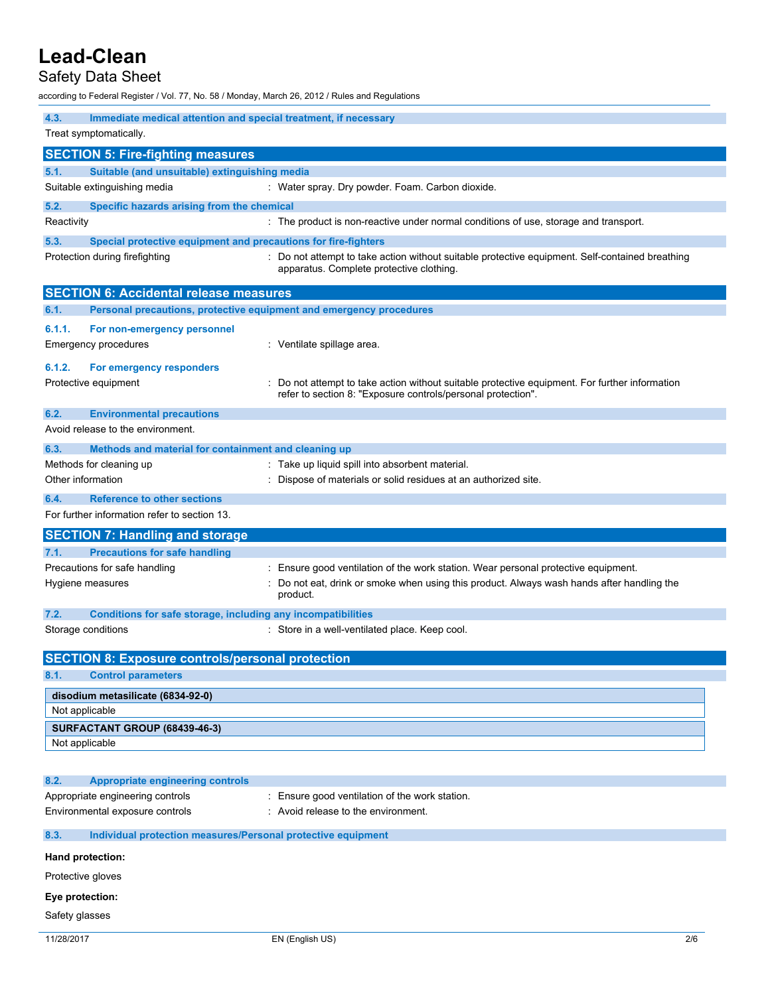## Safety Data Sheet

according to Federal Register / Vol. 77, No. 58 / Monday, March 26, 2012 / Rules and Regulations

| 4.3.<br>Immediate medical attention and special treatment, if necessary |                                                                                                                                             |  |  |  |
|-------------------------------------------------------------------------|---------------------------------------------------------------------------------------------------------------------------------------------|--|--|--|
| Treat symptomatically.                                                  |                                                                                                                                             |  |  |  |
| <b>SECTION 5: Fire-fighting measures</b>                                |                                                                                                                                             |  |  |  |
| 5.1.<br>Suitable (and unsuitable) extinguishing media                   |                                                                                                                                             |  |  |  |
| Suitable extinguishing media                                            | : Water spray. Dry powder. Foam. Carbon dioxide.                                                                                            |  |  |  |
| 5.2.<br>Specific hazards arising from the chemical                      |                                                                                                                                             |  |  |  |
| Reactivity                                                              | : The product is non-reactive under normal conditions of use, storage and transport.                                                        |  |  |  |
| 5.3.<br>Special protective equipment and precautions for fire-fighters  |                                                                                                                                             |  |  |  |
| Protection during firefighting                                          | : Do not attempt to take action without suitable protective equipment. Self-contained breathing<br>apparatus. Complete protective clothing. |  |  |  |
| <b>SECTION 6: Accidental release measures</b>                           |                                                                                                                                             |  |  |  |
| 6.1.                                                                    | Personal precautions, protective equipment and emergency procedures                                                                         |  |  |  |
| 6.1.1.<br>For non-emergency personnel                                   |                                                                                                                                             |  |  |  |
| <b>Emergency procedures</b>                                             | : Ventilate spillage area.                                                                                                                  |  |  |  |
| 6.1.2.                                                                  |                                                                                                                                             |  |  |  |
| For emergency responders<br>Protective equipment                        | : Do not attempt to take action without suitable protective equipment. For further information                                              |  |  |  |
|                                                                         | refer to section 8: "Exposure controls/personal protection".                                                                                |  |  |  |
| 6.2.<br><b>Environmental precautions</b>                                |                                                                                                                                             |  |  |  |
| Avoid release to the environment.                                       |                                                                                                                                             |  |  |  |
| 6.3.<br>Methods and material for containment and cleaning up            |                                                                                                                                             |  |  |  |
| Methods for cleaning up                                                 | : Take up liquid spill into absorbent material.                                                                                             |  |  |  |
| Other information                                                       | Dispose of materials or solid residues at an authorized site.                                                                               |  |  |  |
| 6.4.<br><b>Reference to other sections</b>                              |                                                                                                                                             |  |  |  |
| For further information refer to section 13.                            |                                                                                                                                             |  |  |  |
|                                                                         |                                                                                                                                             |  |  |  |
|                                                                         |                                                                                                                                             |  |  |  |
| <b>SECTION 7: Handling and storage</b>                                  |                                                                                                                                             |  |  |  |
| 7.1.<br><b>Precautions for safe handling</b>                            |                                                                                                                                             |  |  |  |
| Precautions for safe handling                                           | Ensure good ventilation of the work station. Wear personal protective equipment.                                                            |  |  |  |
| Hygiene measures                                                        | Do not eat, drink or smoke when using this product. Always wash hands after handling the<br>product.                                        |  |  |  |
| 7.2.<br>Conditions for safe storage, including any incompatibilities    |                                                                                                                                             |  |  |  |
| Storage conditions                                                      | : Store in a well-ventilated place. Keep cool.                                                                                              |  |  |  |
|                                                                         |                                                                                                                                             |  |  |  |
| <b>SECTION 8: Exposure controls/personal protection</b>                 |                                                                                                                                             |  |  |  |
| 8.1.<br><b>Control parameters</b>                                       |                                                                                                                                             |  |  |  |
| disodium metasilicate (6834-92-0)                                       |                                                                                                                                             |  |  |  |
| Not applicable                                                          |                                                                                                                                             |  |  |  |
| SURFACTANT GROUP (68439-46-3)                                           |                                                                                                                                             |  |  |  |
| Not applicable                                                          |                                                                                                                                             |  |  |  |
|                                                                         |                                                                                                                                             |  |  |  |
| 8.2.<br><b>Appropriate engineering controls</b>                         |                                                                                                                                             |  |  |  |
| Appropriate engineering controls                                        | : Ensure good ventilation of the work station.                                                                                              |  |  |  |
| Environmental exposure controls                                         | : Avoid release to the environment.                                                                                                         |  |  |  |
| 8.3.<br>Individual protection measures/Personal protective equipment    |                                                                                                                                             |  |  |  |
| Hand protection:                                                        |                                                                                                                                             |  |  |  |
| Protective gloves                                                       |                                                                                                                                             |  |  |  |
| Eye protection:                                                         |                                                                                                                                             |  |  |  |
| Safety glasses                                                          |                                                                                                                                             |  |  |  |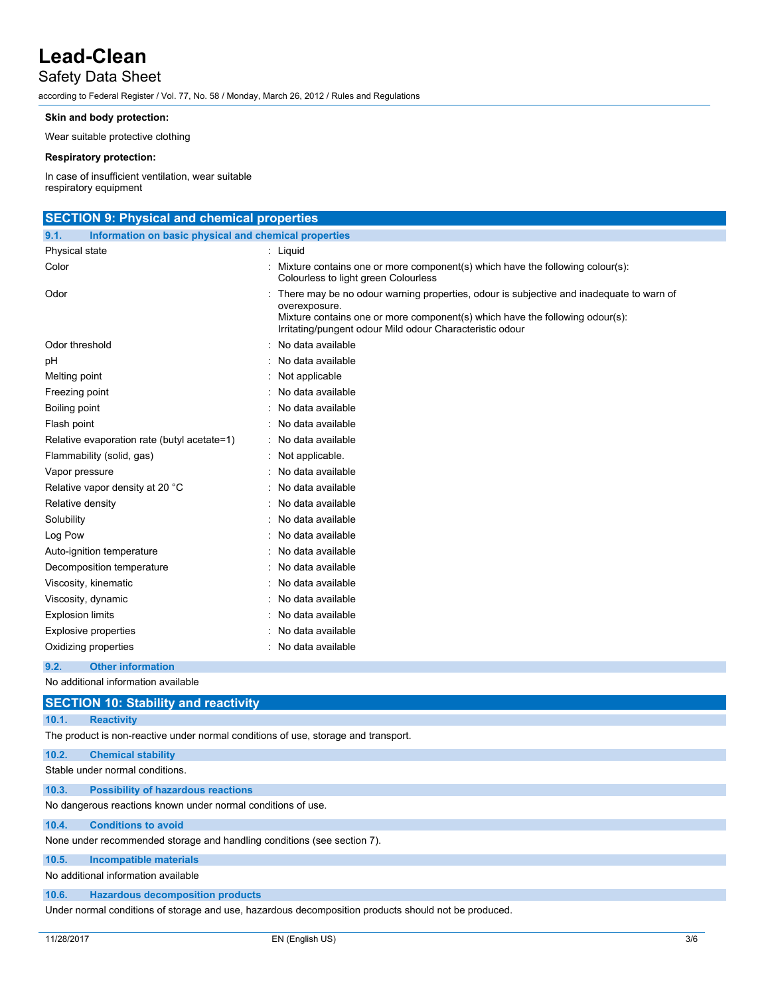## Safety Data Sheet

according to Federal Register / Vol. 77, No. 58 / Monday, March 26, 2012 / Rules and Regulations

### **Skin and body protection:**

Wear suitable protective clothing

### **Respiratory protection:**

In case of insufficient ventilation, wear suitable respiratory equipment

| <b>SECTION 9: Physical and chemical properties</b>            |                                                                                                                                                                                                                                                      |  |  |  |
|---------------------------------------------------------------|------------------------------------------------------------------------------------------------------------------------------------------------------------------------------------------------------------------------------------------------------|--|--|--|
| Information on basic physical and chemical properties<br>9.1. |                                                                                                                                                                                                                                                      |  |  |  |
| Physical state                                                | : Liquid                                                                                                                                                                                                                                             |  |  |  |
| Color                                                         | : Mixture contains one or more component(s) which have the following colour(s):<br>Colourless to light green Colourless                                                                                                                              |  |  |  |
| Odor                                                          | There may be no odour warning properties, odour is subjective and inadequate to warn of<br>overexposure.<br>Mixture contains one or more component(s) which have the following odour(s):<br>Irritating/pungent odour Mild odour Characteristic odour |  |  |  |
| Odor threshold                                                | No data available                                                                                                                                                                                                                                    |  |  |  |
| рH                                                            | : No data available                                                                                                                                                                                                                                  |  |  |  |
| Melting point                                                 | : Not applicable                                                                                                                                                                                                                                     |  |  |  |
| Freezing point                                                | : No data available                                                                                                                                                                                                                                  |  |  |  |
| Boiling point                                                 | No data available                                                                                                                                                                                                                                    |  |  |  |
| Flash point                                                   | : No data available                                                                                                                                                                                                                                  |  |  |  |
| Relative evaporation rate (butyl acetate=1)                   | : No data available                                                                                                                                                                                                                                  |  |  |  |
| Flammability (solid, gas)                                     | Not applicable.                                                                                                                                                                                                                                      |  |  |  |
| Vapor pressure                                                | : No data available                                                                                                                                                                                                                                  |  |  |  |
| Relative vapor density at 20 °C                               | No data available                                                                                                                                                                                                                                    |  |  |  |
| Relative density                                              | : No data available                                                                                                                                                                                                                                  |  |  |  |
| Solubility                                                    | : No data available                                                                                                                                                                                                                                  |  |  |  |
| Log Pow                                                       | : No data available                                                                                                                                                                                                                                  |  |  |  |
| Auto-ignition temperature                                     | : No data available                                                                                                                                                                                                                                  |  |  |  |
| Decomposition temperature                                     | No data available                                                                                                                                                                                                                                    |  |  |  |
| Viscosity, kinematic                                          | : No data available                                                                                                                                                                                                                                  |  |  |  |
| Viscosity, dynamic                                            | No data available                                                                                                                                                                                                                                    |  |  |  |
| <b>Explosion limits</b>                                       | No data available                                                                                                                                                                                                                                    |  |  |  |
| <b>Explosive properties</b>                                   | :   No data available                                                                                                                                                                                                                                |  |  |  |
| Oxidizing properties                                          | : No data available                                                                                                                                                                                                                                  |  |  |  |
| <b>Other information</b><br>9.2.                              |                                                                                                                                                                                                                                                      |  |  |  |
| No additional information available                           |                                                                                                                                                                                                                                                      |  |  |  |
| <b>SECTION 10: Stability and reactivity</b>                   |                                                                                                                                                                                                                                                      |  |  |  |
| 10.1.<br><b>Reactivity</b>                                    |                                                                                                                                                                                                                                                      |  |  |  |

The product is non-reactive under normal conditions of use, storage and transport.

| 10.2. | <b>Chemical stability</b>                 |  |  |  |  |
|-------|-------------------------------------------|--|--|--|--|
|       | Stable under normal conditions.           |  |  |  |  |
| 10.3. | <b>Possibility of hazardous reactions</b> |  |  |  |  |

No dangerous reactions known under normal conditions of use.

### **10.4. Conditions to avoid**

None under recommended storage and handling conditions (see section 7).

### **10.5. Incompatible materials**

No additional information available

### **10.6. Hazardous decomposition products**

Under normal conditions of storage and use, hazardous decomposition products should not be produced.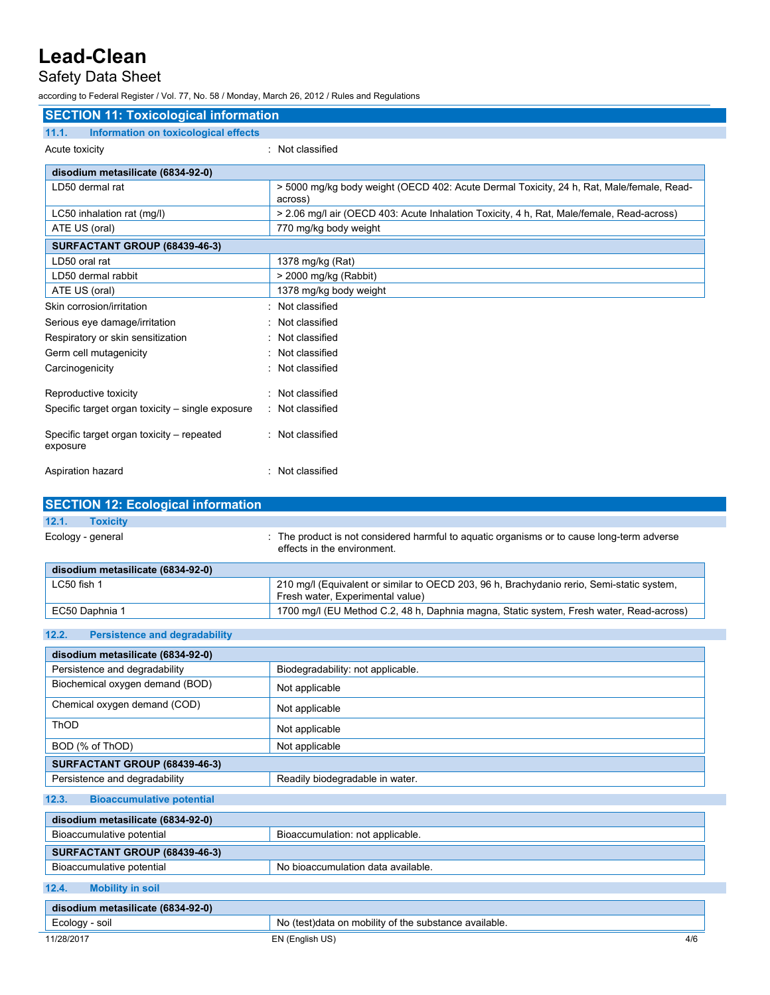## Safety Data Sheet

according to Federal Register / Vol. 77, No. 58 / Monday, March 26, 2012 / Rules and Regulations

| <b>SECTION 11: Toxicological information</b>          |                                                                                                                               |  |  |  |
|-------------------------------------------------------|-------------------------------------------------------------------------------------------------------------------------------|--|--|--|
| Information on toxicological effects<br>11.1.         |                                                                                                                               |  |  |  |
| Acute toxicity                                        | : Not classified                                                                                                              |  |  |  |
| disodium metasilicate (6834-92-0)                     |                                                                                                                               |  |  |  |
| LD50 dermal rat                                       | > 5000 mg/kg body weight (OECD 402: Acute Dermal Toxicity, 24 h, Rat, Male/female, Read-<br>across)                           |  |  |  |
| LC50 inhalation rat (mg/l)                            | > 2.06 mg/l air (OECD 403: Acute Inhalation Toxicity, 4 h, Rat, Male/female, Read-across)                                     |  |  |  |
| ATE US (oral)                                         | 770 mg/kg body weight                                                                                                         |  |  |  |
| SURFACTANT GROUP (68439-46-3)                         |                                                                                                                               |  |  |  |
| LD50 oral rat                                         | 1378 mg/kg (Rat)                                                                                                              |  |  |  |
| LD50 dermal rabbit                                    | > 2000 mg/kg (Rabbit)                                                                                                         |  |  |  |
| ATE US (oral)                                         | 1378 mg/kg body weight                                                                                                        |  |  |  |
| Skin corrosion/irritation                             | : Not classified                                                                                                              |  |  |  |
| Serious eye damage/irritation                         | Not classified                                                                                                                |  |  |  |
| Respiratory or skin sensitization                     | Not classified                                                                                                                |  |  |  |
| Germ cell mutagenicity                                | Not classified                                                                                                                |  |  |  |
| Carcinogenicity                                       | Not classified                                                                                                                |  |  |  |
| Reproductive toxicity                                 | : Not classified                                                                                                              |  |  |  |
| Specific target organ toxicity - single exposure      | : Not classified                                                                                                              |  |  |  |
| Specific target organ toxicity - repeated<br>exposure | : Not classified                                                                                                              |  |  |  |
| Aspiration hazard                                     | : Not classified                                                                                                              |  |  |  |
| <b>SECTION 12: Ecological information</b>             |                                                                                                                               |  |  |  |
| 12.1.<br><b>Toxicity</b>                              |                                                                                                                               |  |  |  |
| Ecology - general                                     | : The product is not considered harmful to aquatic organisms or to cause long-term adverse<br>effects in the environment.     |  |  |  |
| disodium metasilicate (6834-92-0)                     |                                                                                                                               |  |  |  |
| LC50 fish 1                                           | 210 mg/l (Equivalent or similar to OECD 203, 96 h, Brachydanio rerio, Semi-static system,<br>Fresh water, Experimental value) |  |  |  |
| EC50 Daphnia 1                                        | 1700 mg/l (EU Method C.2, 48 h, Daphnia magna, Static system, Fresh water, Read-across)                                       |  |  |  |
| 12.2.<br><b>Persistence and degradability</b>         |                                                                                                                               |  |  |  |
| disodium metasilicate (6834-92-0)                     |                                                                                                                               |  |  |  |
| Persistence and degradability                         | Biodegradability: not applicable.                                                                                             |  |  |  |
| Biochemical oxygen demand (BOD)                       | Not applicable                                                                                                                |  |  |  |
| Chemical oxygen demand (COD)                          | Not applicable                                                                                                                |  |  |  |
| ThOD                                                  | Not applicable                                                                                                                |  |  |  |
| BOD (% of ThOD)                                       | Not applicable                                                                                                                |  |  |  |
| SURFACTANT GROUP (68439-46-3)                         |                                                                                                                               |  |  |  |
| Persistence and degradability                         | Readily biodegradable in water.                                                                                               |  |  |  |
| 12.3.<br><b>Bioaccumulative potential</b>             |                                                                                                                               |  |  |  |
| disodium metasilicate (6834-92-0)                     |                                                                                                                               |  |  |  |
| Bioaccumulative potential                             | Bioaccumulation: not applicable.                                                                                              |  |  |  |
| SURFACTANT GROUP (68439-46-3)                         |                                                                                                                               |  |  |  |
| Bioaccumulative potential                             | No bioaccumulation data available.                                                                                            |  |  |  |

**12.4. Mobility in soil**

| disodium metasilicate (6834-92-0) |                                                        |     |  |  |
|-----------------------------------|--------------------------------------------------------|-----|--|--|
| Ecology - soil                    | No (test) data on mobility of the substance available. |     |  |  |
| 11/28/2017                        | EN (English US)                                        | 4/6 |  |  |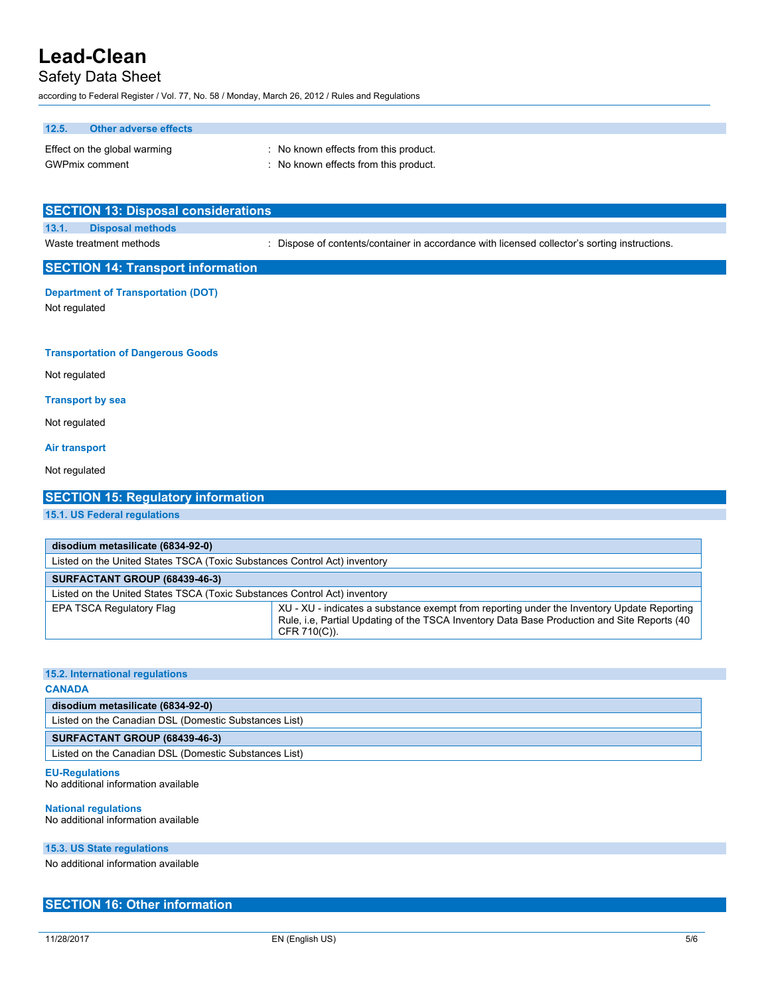## Safety Data Sheet

according to Federal Register / Vol. 77, No. 58 / Monday, March 26, 2012 / Rules and Regulations

## **12.5. Other adverse effects**

| Effect on the global warming | : No known effects from this product. |
|------------------------------|---------------------------------------|
| <b>GWPmix comment</b>        | : No known effects from this product. |

| <b>SECTION 13: Disposal considerations</b>                 |                                                                                               |  |  |  |
|------------------------------------------------------------|-----------------------------------------------------------------------------------------------|--|--|--|
| 13.1.<br><b>Disposal methods</b>                           |                                                                                               |  |  |  |
| Waste treatment methods                                    | : Dispose of contents/container in accordance with licensed collector's sorting instructions. |  |  |  |
| <b>SECTION 14: Transport information</b>                   |                                                                                               |  |  |  |
| <b>Department of Transportation (DOT)</b><br>Not regulated |                                                                                               |  |  |  |
| <b>Transportation of Dangerous Goods</b>                   |                                                                                               |  |  |  |
| Not regulated                                              |                                                                                               |  |  |  |
| <b>Transport by sea</b>                                    |                                                                                               |  |  |  |
| Not regulated                                              |                                                                                               |  |  |  |
| <b>Air transport</b>                                       |                                                                                               |  |  |  |
| Not regulated                                              |                                                                                               |  |  |  |

| disodium metasilicate (6834-92-0)                                                                                                                                                                                                               |  |  |  |  |
|-------------------------------------------------------------------------------------------------------------------------------------------------------------------------------------------------------------------------------------------------|--|--|--|--|
| Listed on the United States TSCA (Toxic Substances Control Act) inventory                                                                                                                                                                       |  |  |  |  |
| SURFACTANT GROUP (68439-46-3)                                                                                                                                                                                                                   |  |  |  |  |
| Listed on the United States TSCA (Toxic Substances Control Act) inventory                                                                                                                                                                       |  |  |  |  |
| XU - XU - indicates a substance exempt from reporting under the Inventory Update Reporting<br><b>EPA TSCA Regulatory Flag</b><br>Rule, i.e. Partial Updating of the TSCA Inventory Data Base Production and Site Reports (40<br>$CFR 710(C)$ ). |  |  |  |  |

#### **15.2. International regulations**

**15.1. US Federal regulations**

### **CANADA**

**disodium metasilicate (6834-92-0)** Listed on the Canadian DSL (Domestic Substances List)

**SECTION 15: Regulatory information**

#### **SURFACTANT GROUP (68439-46-3)**

Listed on the Canadian DSL (Domestic Substances List)

### **EU-Regulations**

No additional information available

### **National regulations**

No additional information available

#### **15.3. US State regulations**

No additional information available

### **SECTION 16: Other information**